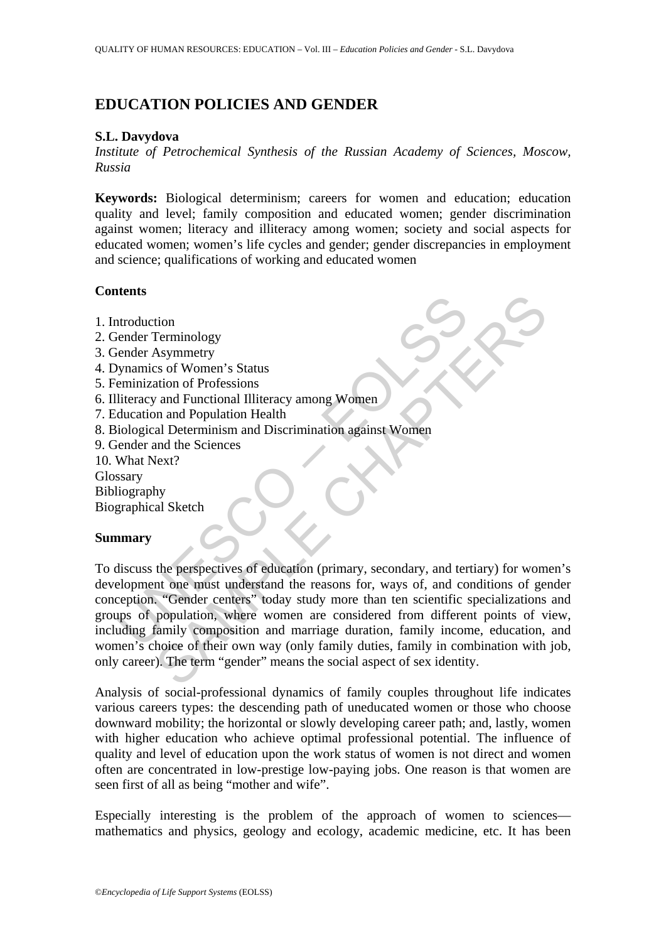# **EDUCATION POLICIES AND GENDER**

#### **S.L. Davydova**

*Institute of Petrochemical Synthesis of the Russian Academy of Sciences, Moscow, Russia* 

**Keywords:** Biological determinism; careers for women and education; education quality and level; family composition and educated women; gender discrimination against women; literacy and illiteracy among women; society and social aspects for educated women; women's life cycles and gender; gender discrepancies in employment and science; qualifications of working and educated women

### **Contents**

- 1. Introduction
- 2. Gender Terminology
- 3. Gender Asymmetry
- 4. Dynamics of Women's Status
- 5. Feminization of Professions
- 6. Illiteracy and Functional Illiteracy among Women
- 7. Education and Population Health
- 8. Biological Determinism and Discrimination against Women
- 9. Gender and the Sciences
- 10. What Next?
- Glossary
- Bibliography

Biographical Sketch

### **Summary**

The threatender Terminology<br>
interactor Terminology<br>
interactor Terminology<br>
interactor of Professions<br>
eliteracy and Functional Illiteracy among Women<br>
ducation and Population Health<br>
inclogical Determinism and Discrimina The Community Community and Terminology<br>
The Asymmetry<br>
and Functional Illiteracy among Women<br>
and Population Health<br>
and Determinism and Discrimination against Women<br>
and the Sciences<br>
Next?<br>
Ny<br>
al Sketch<br>
Next and the S To discuss the perspectives of education (primary, secondary, and tertiary) for women's development one must understand the reasons for, ways of, and conditions of gender conception. "Gender centers" today study more than ten scientific specializations and groups of population, where women are considered from different points of view, including family composition and marriage duration, family income, education, and women's choice of their own way (only family duties, family in combination with job, only career). The term "gender" means the social aspect of sex identity.

Analysis of social-professional dynamics of family couples throughout life indicates various careers types: the descending path of uneducated women or those who choose downward mobility; the horizontal or slowly developing career path; and, lastly, women with higher education who achieve optimal professional potential. The influence of quality and level of education upon the work status of women is not direct and women often are concentrated in low-prestige low-paying jobs. One reason is that women are seen first of all as being "mother and wife".

Especially interesting is the problem of the approach of women to sciences mathematics and physics, geology and ecology, academic medicine, etc. It has been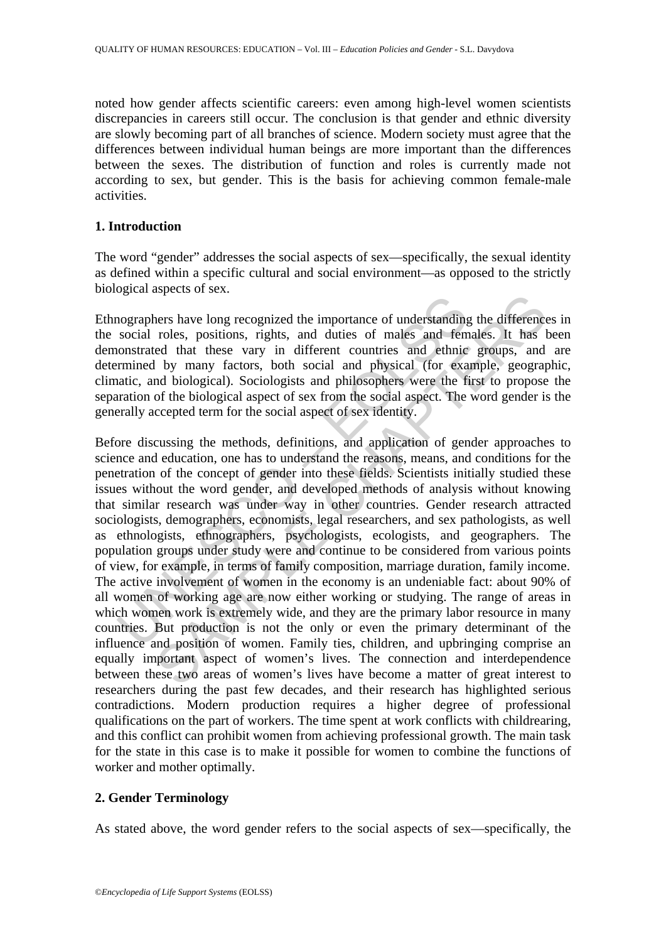noted how gender affects scientific careers: even among high-level women scientists discrepancies in careers still occur. The conclusion is that gender and ethnic diversity are slowly becoming part of all branches of science. Modern society must agree that the differences between individual human beings are more important than the differences between the sexes. The distribution of function and roles is currently made not according to sex, but gender. This is the basis for achieving common female-male activities.

## **1. Introduction**

The word "gender" addresses the social aspects of sex—specifically, the sexual identity as defined within a specific cultural and social environment—as opposed to the strictly biological aspects of sex.

Ethnographers have long recognized the importance of understanding the differences in the social roles, positions, rights, and duties of males and females. It has been demonstrated that these vary in different countries and ethnic groups, and are determined by many factors, both social and physical (for example, geographic, climatic, and biological). Sociologists and philosophers were the first to propose the separation of the biological aspect of sex from the social aspect. The word gender is the generally accepted term for the social aspect of sex identity.

Lead that these vary in different countered funders and femontated that these vary in different countstant of males and the monstrated that these vary in different countries and ethnic mormined by many factors, both social The state of molecular of understanding the difference<br>rest have long recognized the importance of understanding the difference<br>rest posts, positions, rights, and duties of males and females. It has t<br>ed that these vary in Before discussing the methods, definitions, and application of gender approaches to science and education, one has to understand the reasons, means, and conditions for the penetration of the concept of gender into these fields. Scientists initially studied these issues without the word gender, and developed methods of analysis without knowing that similar research was under way in other countries. Gender research attracted sociologists, demographers, economists, legal researchers, and sex pathologists, as well as ethnologists, ethnographers, psychologists, ecologists, and geographers. The population groups under study were and continue to be considered from various points of view, for example, in terms of family composition, marriage duration, family income. The active involvement of women in the economy is an undeniable fact: about 90% of all women of working age are now either working or studying. The range of areas in which women work is extremely wide, and they are the primary labor resource in many countries. But production is not the only or even the primary determinant of the influence and position of women. Family ties, children, and upbringing comprise an equally important aspect of women's lives. The connection and interdependence between these two areas of women's lives have become a matter of great interest to researchers during the past few decades, and their research has highlighted serious contradictions. Modern production requires a higher degree of professional qualifications on the part of workers. The time spent at work conflicts with childrearing, and this conflict can prohibit women from achieving professional growth. The main task for the state in this case is to make it possible for women to combine the functions of worker and mother optimally.

# **2. Gender Terminology**

As stated above, the word gender refers to the social aspects of sex—specifically, the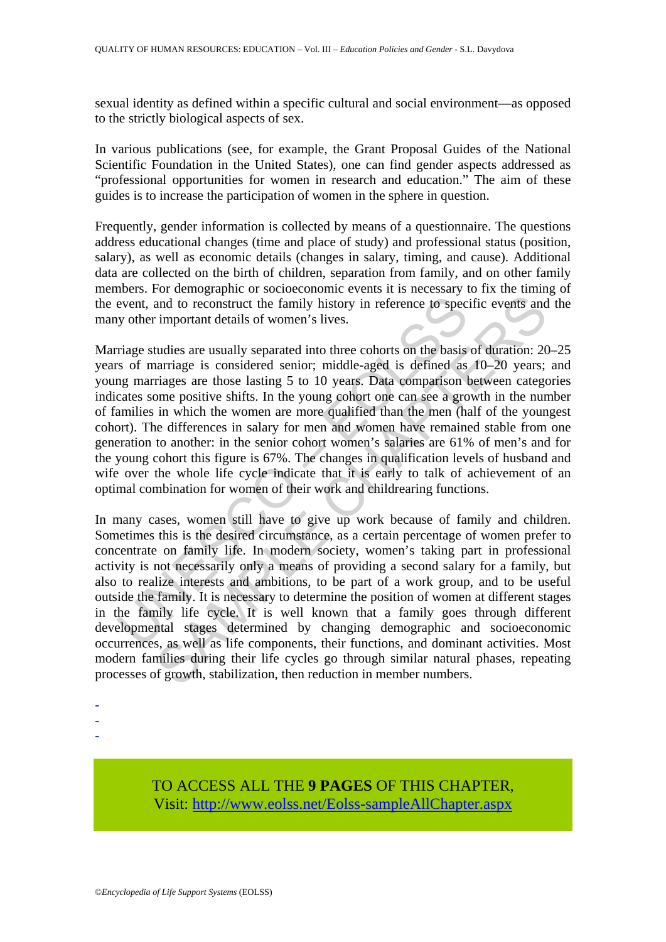sexual identity as defined within a specific cultural and social environment—as opposed to the strictly biological aspects of sex.

In various publications (see, for example, the Grant Proposal Guides of the National Scientific Foundation in the United States), one can find gender aspects addressed as "professional opportunities for women in research and education." The aim of these guides is to increase the participation of women in the sphere in question.

Frequently, gender information is collected by means of a questionnaire. The questions address educational changes (time and place of study) and professional status (position, salary), as well as economic details (changes in salary, timing, and cause). Additional data are collected on the birth of children, separation from family, and on other family members. For demographic or socioeconomic events it is necessary to fix the timing of the event, and to reconstruct the family history in reference to specific events and the many other important details of women's lives.

event, and to reconstruct the family history in reference to spect<br>y other important details of women's lives.<br>Trage studies are usually separated into three cohorts on the basis<br>s of marriage is considered senior; middle-Marriage studies are usually separated into three cohorts on the basis of duration: 20–25 years of marriage is considered senior; middle-aged is defined as 10–20 years; and young marriages are those lasting 5 to 10 years. Data comparison between categories indicates some positive shifts. In the young cohort one can see a growth in the number of families in which the women are more qualified than the men (half of the youngest cohort). The differences in salary for men and women have remained stable from one generation to another: in the senior cohort women's salaries are 61% of men's and for the young cohort this figure is 67%. The changes in qualification levels of husband and wife over the whole life cycle indicate that it is early to talk of achievement of an optimal combination for women of their work and childrearing functions.

and to reconstruct the family history in reference to specific events and and to reconstruct the family history in reference to specific events and important details of women's lives.<br>
tudies are usually separated into thr In many cases, women still have to give up work because of family and children. Sometimes this is the desired circumstance, as a certain percentage of women prefer to concentrate on family life. In modern society, women's taking part in professional activity is not necessarily only a means of providing a second salary for a family, but also to realize interests and ambitions, to be part of a work group, and to be useful outside the family. It is necessary to determine the position of women at different stages in the family life cycle. It is well known that a family goes through different developmental stages determined by changing demographic and socioeconomic occurrences, as well as life components, their functions, and dominant activities. Most modern families during their life cycles go through similar natural phases, repeating processes of growth, stabilization, then reduction in member numbers.

- -
- -
- -

TO ACCESS ALL THE **9 PAGES** OF THIS CHAPTER, Visit[: http://www.eolss.net/Eolss-sampleAllChapter.aspx](https://www.eolss.net/ebooklib/sc_cart.aspx?File=E1-12-05-03)